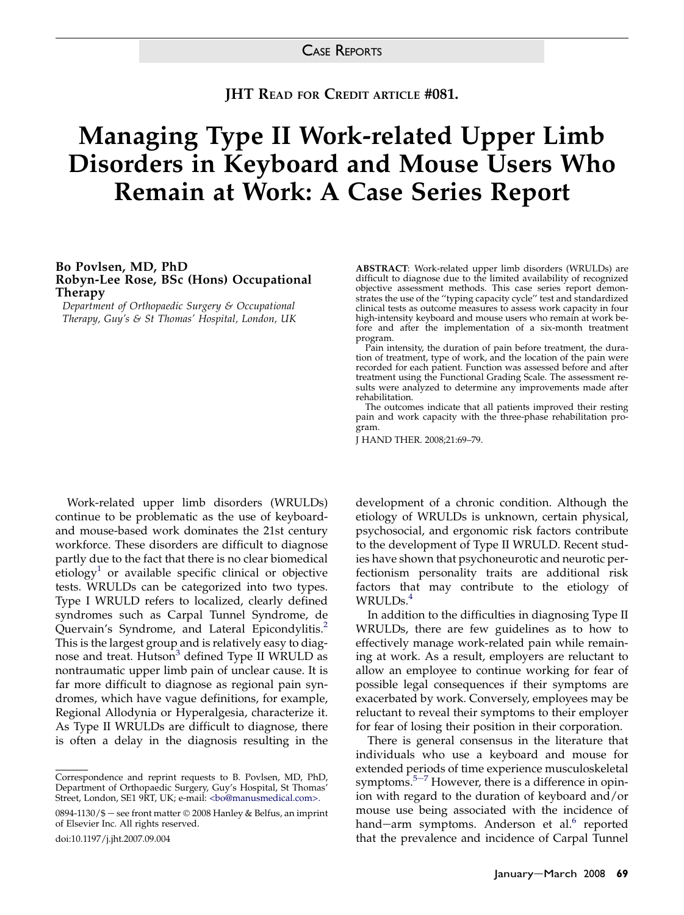# CASE REPORTS

# JHT READ FOR CREDIT ARTICLE #081.

# Managing Type II Work-related Upper Limb Disorders in Keyboard and Mouse Users Who Remain at Work: A Case Series Report

## Bo Povlsen, MD, PhD Robyn-Lee Rose, BSc (Hons) Occupational Therapy

Department of Orthopaedic Surgery & Occupational Therapy, Guy's & St Thomas' Hospital, London, UK

Work-related upper limb disorders (WRULDs) continue to be problematic as the use of keyboardand mouse-based work dominates the 21st century workforce. These disorders are difficult to diagnose partly due to the fact that there is no clear biomedical etiology<sup>[1](#page-8-0)</sup> or available specific clinical or objective tests. WRULDs can be categorized into two types. Type I WRULD refers to localized, clearly defined syndromes such as Carpal Tunnel Syndrome, de Quervain's Syndrome, and Lateral Epicondylitis.<sup>[2](#page-8-0)</sup> This is the largest group and is relatively easy to diagnose and treat. Hutson $3$  defined Type II WRULD as nontraumatic upper limb pain of unclear cause. It is far more difficult to diagnose as regional pain syndromes, which have vague definitions, for example, Regional Allodynia or Hyperalgesia, characterize it. As Type II WRULDs are difficult to diagnose, there is often a delay in the diagnosis resulting in the

doi:10.1197/j.jht.2007.09.004

ABSTRACT: Work-related upper limb disorders (WRULDs) are difficult to diagnose due to the limited availability of recognized objective assessment methods. This case series report demonstrates the use of the ''typing capacity cycle'' test and standardized clinical tests as outcome measures to assess work capacity in four high-intensity keyboard and mouse users who remain at work before and after the implementation of a six-month treatment program.

Pain intensity, the duration of pain before treatment, the duration of treatment, type of work, and the location of the pain were recorded for each patient. Function was assessed before and after treatment using the Functional Grading Scale. The assessment results were analyzed to determine any improvements made after rehabilitation.

The outcomes indicate that all patients improved their resting pain and work capacity with the three-phase rehabilitation program.

J HAND THER. 2008;21:69–79.

development of a chronic condition. Although the etiology of WRULDs is unknown, certain physical, psychosocial, and ergonomic risk factors contribute to the development of Type II WRULD. Recent studies have shown that psychoneurotic and neurotic perfectionism personality traits are additional risk factors that may contribute to the etiology of WRULDs.<sup>[4](#page-8-0)</sup>

In addition to the difficulties in diagnosing Type II WRULDs, there are few guidelines as to how to effectively manage work-related pain while remaining at work. As a result, employers are reluctant to allow an employee to continue working for fear of possible legal consequences if their symptoms are exacerbated by work. Conversely, employees may be reluctant to reveal their symptoms to their employer for fear of losing their position in their corporation.

There is general consensus in the literature that individuals who use a keyboard and mouse for extended periods of time experience musculoskeletal symptoms.<sup>5–7</sup> How[e](#page-8-0)ver, there is a difference in opinion with regard to the duration of keyboard and/or mouse use being associated with the incidence of hand-arm symptoms. Anderson et al.<sup>[6](#page-8-0)</sup> reported that the prevalence and incidence of Carpal Tunnel

Correspondence and reprint requests to B. Povlsen, MD, PhD, Department of Orthopaedic Surgery, Guy's Hospital, St Thomas' Street, London, SE1 9RT, UK; e-mail: <br/>bo@manusmedical.com>.

<sup>0894-1130/\$ —</sup> see front matter © 2008 Hanley & Belfus, an imprint of Elsevier Inc. All rights reserved.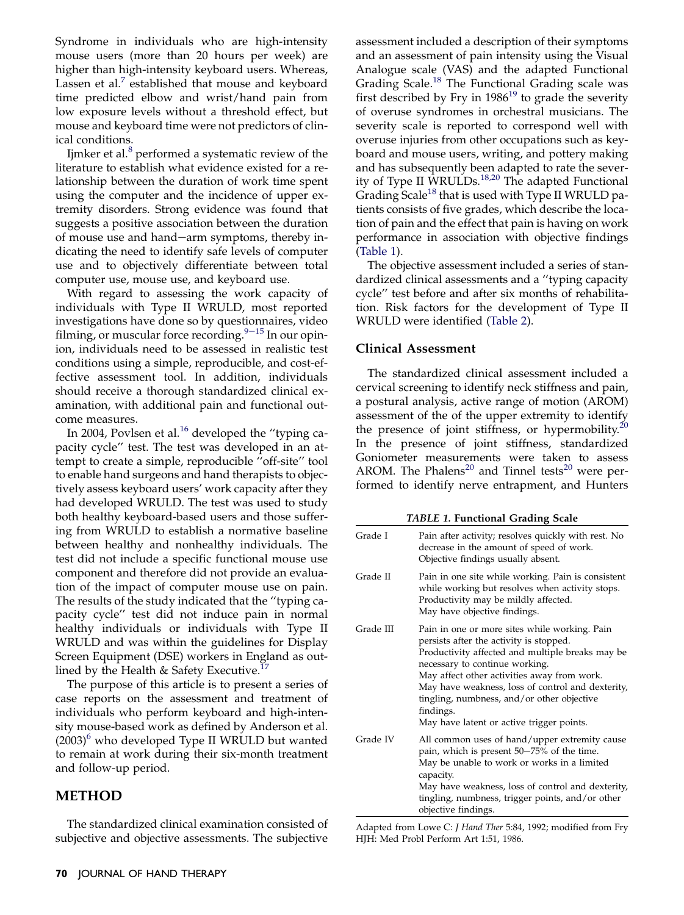Syndrome in individuals who are high-intensity mouse users (more than 20 hours per week) are higher than high-intensity keyboard users. Whereas, Lassen et al.<sup>[7](#page-8-0)</sup> established that mouse and keyboard time predicted elbow and wrist/hand pain from low exposure levels without a threshold effect, but mouse and keyboard time were not predictors of clinical conditions.

Ijmker et al. $\delta$  performed a systematic review of the literature to establish what evidence existed for a relationship between the duration of work time spent using the computer and the incidence of upper extremity disorders. Strong evidence was found that suggests a positive association between the duration of mouse use and hand-arm symptoms, thereby indicating the need to identify safe levels of computer use and to objectively differentiate between total computer use, mouse use, and keyboard use.

With regard to assessing the work capacity of individuals with Type II WRULD, most reported investigations have done so by questionnaires, video filming, or muscular force recording. $9-15$  $9-15$  In our opinion, individuals need to be assessed in realistic test conditions using a simple, reproducible, and cost-effective assessment tool. In addition, individuals should receive a thorough standardized clinical examination, with additional pain and functional outcome measures.

In 2004, Povlsen et al. $^{16}$  $^{16}$  $^{16}$  developed the "typing capacity cycle'' test. The test was developed in an attempt to create a simple, reproducible ''off-site'' tool to enable hand surgeons and hand therapists to objectively assess keyboard users' work capacity after they had developed WRULD. The test was used to study both healthy keyboard-based users and those suffering from WRULD to establish a normative baseline between healthy and nonhealthy individuals. The test did not include a specific functional mouse use component and therefore did not provide an evaluation of the impact of computer mouse use on pain. The results of the study indicated that the ''typing capacity cycle'' test did not induce pain in normal healthy individuals or individuals with Type II WRULD and was within the guidelines for Display Screen Equipment (DSE) workers in England as outlined by the Health  $&$  Safety Executive.<sup>[17](#page-9-0)</sup>

The purpose of this article is to present a series of case reports on the assessment and treatment of individuals who perform keyboard and high-intensity mouse-based work as defined by Anderson et al.  $(2003)$ <sup>o</sup> who developed Type II WRULD but wanted to remain at work during their six-month treatment and follow-up period.

# METHOD

The standardized clinical examination consisted of subjective and objective assessments. The subjective

assessment included a description of their symptoms and an assessment of pain intensity using the Visual Analogue scale (VAS) and the adapted Functional Grading Scale.<sup>[18](#page-9-0)</sup> The Functional Grading scale was first described by Fry in  $1986^{19}$  $1986^{19}$  to grade the severity of overuse syndromes in orchestral musicians. The severity scale is reported to correspond well with overuse injuries from other occupations such as keyboard and mouse users, writing, and pottery making and has subsequently been adapted to rate the sever-ity of Type II WRULDs.<sup>[18,20](#page-9-0)</sup> The adapted Functional Grading Scale<sup>[18](#page-9-0)</sup> that is used with Type II WRULD patients consists of five grades, which describe the location of pain and the effect that pain is having on work performance in association with objective findings (Table 1).

The objective assessment included a series of standardized clinical assessments and a ''typing capacity cycle'' test before and after six months of rehabilitation. Risk factors for the development of Type II WRULD were identified [\(Table 2\)](#page-2-0).

#### Clinical Assessment

The standardized clinical assessment included a cervical screening to identify neck stiffness and pain, a postural analysis, active range of motion (AROM) assessment of the of the upper extremity to identify the presence of joint stiffness, or hypermobility. $^{20}$  $^{20}$  $^{20}$ In the presence of joint stiffness, standardized Goniometer measurements were taken to assess AROM. The Phalens<sup>[20](#page-9-0)</sup> and Tinnel tests<sup>20</sup> were performed to identify nerve entrapment, and Hunters

#### TABLE 1. Functional Grading Scale

| Grade I   | Pain after activity; resolves quickly with rest. No<br>decrease in the amount of speed of work.<br>Objective findings usually absent.                                                                                                                                                                                                                                                      |
|-----------|--------------------------------------------------------------------------------------------------------------------------------------------------------------------------------------------------------------------------------------------------------------------------------------------------------------------------------------------------------------------------------------------|
| Grade II  | Pain in one site while working. Pain is consistent<br>while working but resolves when activity stops.<br>Productivity may be mildly affected.<br>May have objective findings.                                                                                                                                                                                                              |
| Grade III | Pain in one or more sites while working. Pain<br>persists after the activity is stopped.<br>Productivity affected and multiple breaks may be<br>necessary to continue working.<br>May affect other activities away from work.<br>May have weakness, loss of control and dexterity,<br>tingling, numbness, and/or other objective<br>findings.<br>May have latent or active trigger points. |
| Grade IV  | All common uses of hand/upper extremity cause<br>pain, which is present 50–75% of the time.<br>May be unable to work or works in a limited<br>capacity.<br>May have weakness, loss of control and dexterity,<br>tingling, numbness, trigger points, and/or other<br>objective findings.                                                                                                    |

Adapted from Lowe C: J Hand Ther 5:84, 1992; modified from Fry HJH: Med Probl Perform Art 1:51, 1986.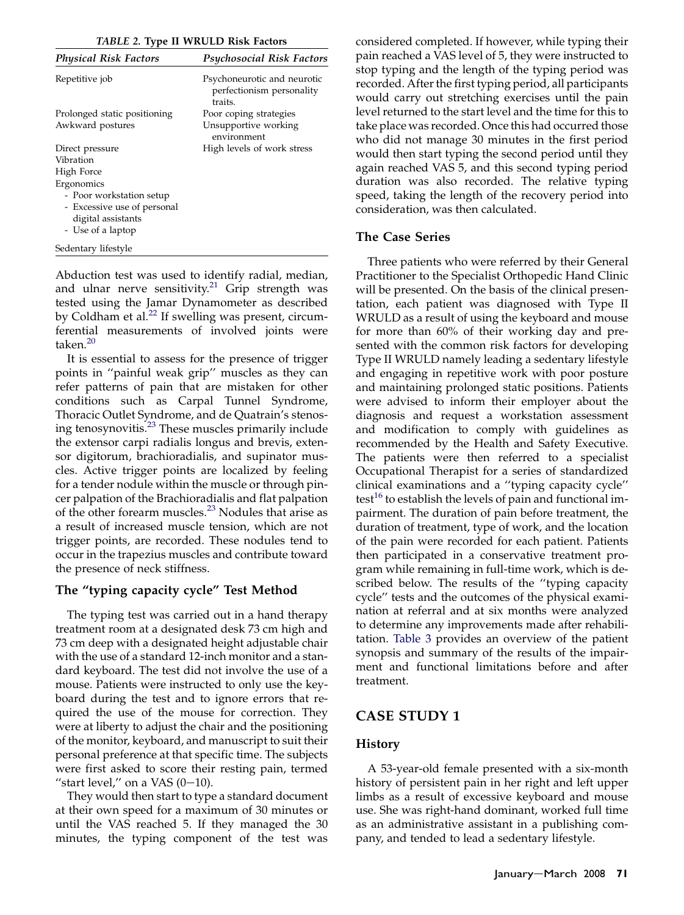TABLE 2. Type II WRULD Risk Factors

<span id="page-2-0"></span>

| <b>Physical Risk Factors</b> | <b>Psychosocial Risk Factors</b>                                    |
|------------------------------|---------------------------------------------------------------------|
| Repetitive job               | Psychoneurotic and neurotic<br>perfectionism personality<br>traits. |
| Prolonged static positioning | Poor coping strategies                                              |
| Awkward postures             | Unsupportive working<br>environment                                 |
| Direct pressure              | High levels of work stress                                          |
| Vibration                    |                                                                     |
| High Force                   |                                                                     |
| Ergonomics                   |                                                                     |
| - Poor workstation setup     |                                                                     |
| - Excessive use of personal  |                                                                     |
| digital assistants           |                                                                     |
| - Use of a laptop            |                                                                     |
| Sedentary lifestyle          |                                                                     |

Abduction test was used to identify radial, median, and ulnar nerve sensitivity.<sup>[21](#page-9-0)</sup> Grip strength was tested using the Jamar Dynamometer as described by Coldham et al.<sup>[22](#page-9-0)</sup> If swelling was present, circumferential measurements of involved joints were taken. $20$ 

It is essential to assess for the presence of trigger points in ''painful weak grip'' muscles as they can refer patterns of pain that are mistaken for other conditions such as Carpal Tunnel Syndrome, Thoracic Outlet Syndrome, and de Quatrain's stenosing tenosynovitis.[23](#page-9-0) These muscles primarily include the extensor carpi radialis longus and brevis, extensor digitorum, brachioradialis, and supinator muscles. Active trigger points are localized by feeling for a tender nodule within the muscle or through pincer palpation of the Brachioradialis and flat palpation of the other forearm muscles.<sup>[23](#page-9-0)</sup> Nodules that arise as a result of increased muscle tension, which are not trigger points, are recorded. These nodules tend to occur in the trapezius muscles and contribute toward the presence of neck stiffness.

# The "typing capacity cycle" Test Method

The typing test was carried out in a hand therapy treatment room at a designated desk 73 cm high and 73 cm deep with a designated height adjustable chair with the use of a standard 12-inch monitor and a standard keyboard. The test did not involve the use of a mouse. Patients were instructed to only use the keyboard during the test and to ignore errors that required the use of the mouse for correction. They were at liberty to adjust the chair and the positioning of the monitor, keyboard, and manuscript to suit their personal preference at that specific time. The subjects were first asked to score their resting pain, termed "start level," on a VAS  $(0-10)$ .

They would then start to type a standard document at their own speed for a maximum of 30 minutes or until the VAS reached 5. If they managed the 30 minutes, the typing component of the test was

considered completed. If however, while typing their pain reached a VAS level of 5, they were instructed to stop typing and the length of the typing period was recorded. After the first typing period, all participants would carry out stretching exercises until the pain level returned to the start level and the time for this to take place was recorded. Once this had occurred those who did not manage 30 minutes in the first period would then start typing the second period until they again reached VAS 5, and this second typing period duration was also recorded. The relative typing speed, taking the length of the recovery period into consideration, was then calculated.

# The Case Series

Three patients who were referred by their General Practitioner to the Specialist Orthopedic Hand Clinic will be presented. On the basis of the clinical presentation, each patient was diagnosed with Type II WRULD as a result of using the keyboard and mouse for more than 60% of their working day and presented with the common risk factors for developing Type II WRULD namely leading a sedentary lifestyle and engaging in repetitive work with poor posture and maintaining prolonged static positions. Patients were advised to inform their employer about the diagnosis and request a workstation assessment and modification to comply with guidelines as recommended by the Health and Safety Executive. The patients were then referred to a specialist Occupational Therapist for a series of standardized clinical examinations and a ''typing capacity cycle'' test<sup>[16](#page-8-0)</sup> to establish the levels of pain and functional impairment. The duration of pain before treatment, the duration of treatment, type of work, and the location of the pain were recorded for each patient. Patients then participated in a conservative treatment program while remaining in full-time work, which is described below. The results of the ''typing capacity cycle'' tests and the outcomes of the physical examination at referral and at six months were analyzed to determine any improvements made after rehabilitation. [Table 3](#page-3-0) provides an overview of the patient synopsis and summary of the results of the impairment and functional limitations before and after treatment.

# CASE STUDY 1

# **History**

A 53-year-old female presented with a six-month history of persistent pain in her right and left upper limbs as a result of excessive keyboard and mouse use. She was right-hand dominant, worked full time as an administrative assistant in a publishing company, and tended to lead a sedentary lifestyle.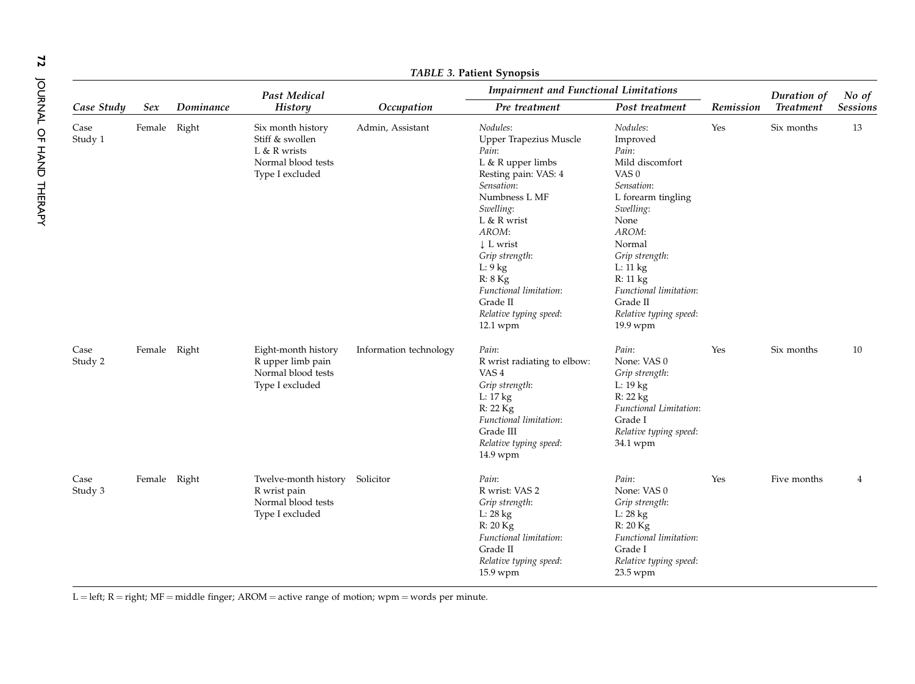<span id="page-3-0"></span>

| Case Study      |              | Dominance | <b>Past Medical</b><br>History                                                                |                        | <b>Impairment and Functional Limitations</b>                                                                                                                                                                                                                                                           | Remission                                                                                                                                                                                                                                                  | Duration of      | No of       |    |
|-----------------|--------------|-----------|-----------------------------------------------------------------------------------------------|------------------------|--------------------------------------------------------------------------------------------------------------------------------------------------------------------------------------------------------------------------------------------------------------------------------------------------------|------------------------------------------------------------------------------------------------------------------------------------------------------------------------------------------------------------------------------------------------------------|------------------|-------------|----|
|                 | Sex          |           |                                                                                               | Occupation             | Pre treatment                                                                                                                                                                                                                                                                                          |                                                                                                                                                                                                                                                            | <b>Treatment</b> | Sessions    |    |
| Case<br>Study 1 | Female Right |           | Six month history<br>Stiff & swollen<br>L & R wrists<br>Normal blood tests<br>Type I excluded | Admin, Assistant       | Nodules:<br><b>Upper Trapezius Muscle</b><br>Pain:<br>L & R upper limbs<br>Resting pain: VAS: 4<br>Sensation:<br>Numbness L MF<br>Swelling:<br>L & R wrist<br>AROM:<br>L wrist<br>Grip strength:<br>L: 9 kg<br>$R: 8$ Kg<br>Functional limitation:<br>Grade II<br>Relative typing speed:<br>$12.1$ wpm | Nodules:<br>Improved<br>Pain:<br>Mild discomfort<br>VAS0<br>Sensation:<br>L forearm tingling<br>Swelling:<br>None<br>AROM:<br>Normal<br>Grip strength:<br>L: 11 kg<br>R: 11 kg<br>Functional limitation:<br>Grade II<br>Relative typing speed:<br>19.9 wpm | Yes              | Six months  | 13 |
| Case<br>Study 2 | Female Right |           | Eight-month history<br>R upper limb pain<br>Normal blood tests<br>Type I excluded             | Information technology | Pain:<br>R wrist radiating to elbow:<br>VAS <sub>4</sub><br>Grip strength:<br>L: 17 kg<br>R: 22 Kg<br>Functional limitation:<br>Grade III<br>Relative typing speed:<br>$14.9$ wpm                                                                                                                      | Pain:<br>None: VAS 0<br>Grip strength:<br>L: 19 kg<br>R: 22 kg<br>Functional Limitation:<br>Grade I<br>Relative typing speed:<br>34.1 wpm                                                                                                                  | Yes              | Six months  | 10 |
| Case<br>Study 3 | Female Right |           | Twelve-month history<br>R wrist pain<br>Normal blood tests<br>Type I excluded                 | Solicitor              | Pain:<br>R wrist: VAS 2<br>Grip strength:<br>L: 28 kg<br>R: 20 Kg<br>Functional limitation:<br>Grade II<br>Relative typing speed:<br>$15.9$ wpm                                                                                                                                                        | Pain:<br>None: VAS 0<br>Grip strength:<br>L: 28 kg<br>R: 20 Kg<br>Functional limitation:<br>Grade I<br>Relative typing speed:<br>23.5 wpm                                                                                                                  | Yes              | Five months | 4  |

TABLE 3. Patient Synopsis

L = left; R = right; MF = middle finger; AROM = active range of motion; wpm = words per minute.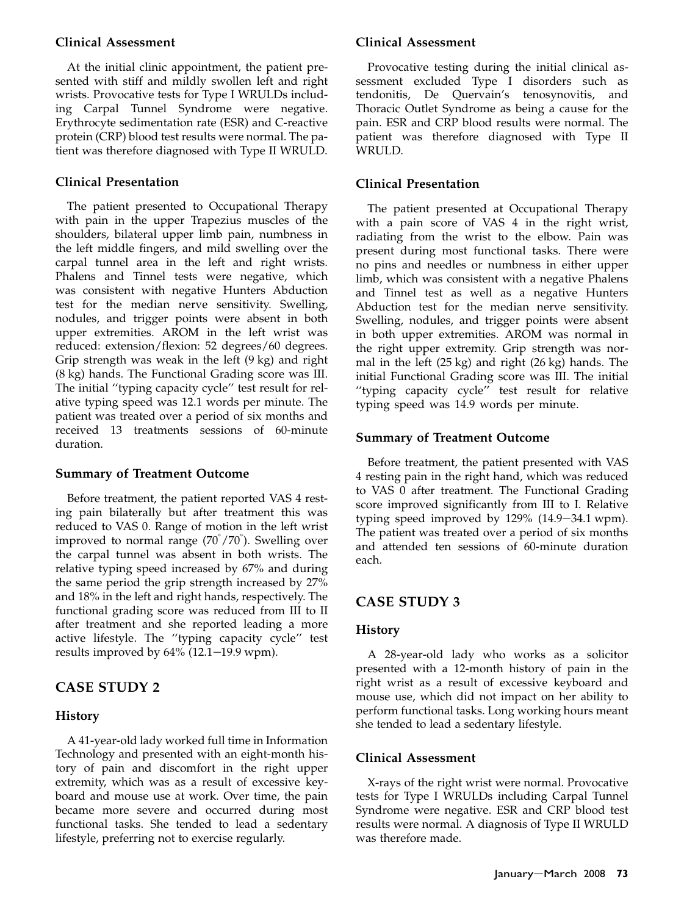## Clinical Assessment

At the initial clinic appointment, the patient presented with stiff and mildly swollen left and right wrists. Provocative tests for Type I WRULDs including Carpal Tunnel Syndrome were negative. Erythrocyte sedimentation rate (ESR) and C-reactive protein (CRP) blood test results were normal. The patient was therefore diagnosed with Type II WRULD.

## Clinical Presentation

The patient presented to Occupational Therapy with pain in the upper Trapezius muscles of the shoulders, bilateral upper limb pain, numbness in the left middle fingers, and mild swelling over the carpal tunnel area in the left and right wrists. Phalens and Tinnel tests were negative, which was consistent with negative Hunters Abduction test for the median nerve sensitivity. Swelling, nodules, and trigger points were absent in both upper extremities. AROM in the left wrist was reduced: extension/flexion: 52 degrees/60 degrees. Grip strength was weak in the left (9 kg) and right (8 kg) hands. The Functional Grading score was III. The initial ''typing capacity cycle'' test result for relative typing speed was 12.1 words per minute. The patient was treated over a period of six months and received 13 treatments sessions of 60-minute duration.

#### Summary of Treatment Outcome

Before treatment, the patient reported VAS 4 resting pain bilaterally but after treatment this was reduced to VAS 0. Range of motion in the left wrist improved to normal range (70°/70°). Swelling over the carpal tunnel was absent in both wrists. The relative typing speed increased by 67% and during the same period the grip strength increased by 27% and 18% in the left and right hands, respectively. The functional grading score was reduced from III to II after treatment and she reported leading a more active lifestyle. The ''typing capacity cycle'' test results improved by  $64\%$  (12.1–19.9 wpm).

# CASE STUDY 2

#### **History**

A 41-year-old lady worked full time in Information Technology and presented with an eight-month history of pain and discomfort in the right upper extremity, which was as a result of excessive keyboard and mouse use at work. Over time, the pain became more severe and occurred during most functional tasks. She tended to lead a sedentary lifestyle, preferring not to exercise regularly.

#### Clinical Assessment

Provocative testing during the initial clinical assessment excluded Type I disorders such as tendonitis, De Quervain's tenosynovitis, and Thoracic Outlet Syndrome as being a cause for the pain. ESR and CRP blood results were normal. The patient was therefore diagnosed with Type II WRULD.

## Clinical Presentation

The patient presented at Occupational Therapy with a pain score of VAS 4 in the right wrist, radiating from the wrist to the elbow. Pain was present during most functional tasks. There were no pins and needles or numbness in either upper limb, which was consistent with a negative Phalens and Tinnel test as well as a negative Hunters Abduction test for the median nerve sensitivity. Swelling, nodules, and trigger points were absent in both upper extremities. AROM was normal in the right upper extremity. Grip strength was normal in the left (25 kg) and right (26 kg) hands. The initial Functional Grading score was III. The initial ''typing capacity cycle'' test result for relative typing speed was 14.9 words per minute.

#### Summary of Treatment Outcome

Before treatment, the patient presented with VAS 4 resting pain in the right hand, which was reduced to VAS 0 after treatment. The Functional Grading score improved significantly from III to I. Relative typing speed improved by  $129\%$  (14.9–34.1 wpm). The patient was treated over a period of six months and attended ten sessions of 60-minute duration each.

# CASE STUDY 3

#### **History**

A 28-year-old lady who works as a solicitor presented with a 12-month history of pain in the right wrist as a result of excessive keyboard and mouse use, which did not impact on her ability to perform functional tasks. Long working hours meant she tended to lead a sedentary lifestyle.

## Clinical Assessment

X-rays of the right wrist were normal. Provocative tests for Type I WRULDs including Carpal Tunnel Syndrome were negative. ESR and CRP blood test results were normal. A diagnosis of Type II WRULD was therefore made.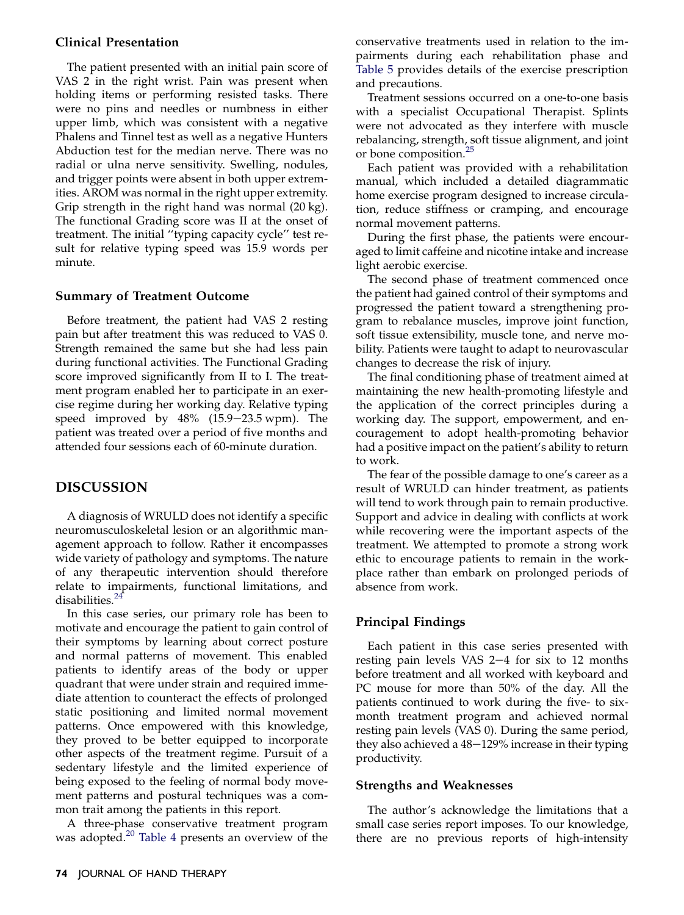# Clinical Presentation

The patient presented with an initial pain score of VAS 2 in the right wrist. Pain was present when holding items or performing resisted tasks. There were no pins and needles or numbness in either upper limb, which was consistent with a negative Phalens and Tinnel test as well as a negative Hunters Abduction test for the median nerve. There was no radial or ulna nerve sensitivity. Swelling, nodules, and trigger points were absent in both upper extremities. AROM was normal in the right upper extremity. Grip strength in the right hand was normal (20 kg). The functional Grading score was II at the onset of treatment. The initial ''typing capacity cycle'' test result for relative typing speed was 15.9 words per minute.

# Summary of Treatment Outcome

Before treatment, the patient had VAS 2 resting pain but after treatment this was reduced to VAS 0. Strength remained the same but she had less pain during functional activities. The Functional Grading score improved significantly from II to I. The treatment program enabled her to participate in an exercise regime during her working day. Relative typing speed improved by  $48\%$  (15.9-23.5 wpm). The patient was treated over a period of five months and attended four sessions each of 60-minute duration.

# DISCUSSION

A diagnosis of WRULD does not identify a specific neuromusculoskeletal lesion or an algorithmic management approach to follow. Rather it encompasses wide variety of pathology and symptoms. The nature of any therapeutic intervention should therefore relate to impairments, functional limitations, and disabilities.<sup>[24](#page-9-0)</sup>

In this case series, our primary role has been to motivate and encourage the patient to gain control of their symptoms by learning about correct posture and normal patterns of movement. This enabled patients to identify areas of the body or upper quadrant that were under strain and required immediate attention to counteract the effects of prolonged static positioning and limited normal movement patterns. Once empowered with this knowledge, they proved to be better equipped to incorporate other aspects of the treatment regime. Pursuit of a sedentary lifestyle and the limited experience of being exposed to the feeling of normal body movement patterns and postural techniques was a common trait among the patients in this report.

A three-phase conservative treatment program was adopted.<sup>[20](#page-9-0)</sup> [Table 4](#page-6-0) presents an overview of the conservative treatments used in relation to the impairments during each rehabilitation phase and [Table 5](#page-7-0) provides details of the exercise prescription and precautions.

Treatment sessions occurred on a one-to-one basis with a specialist Occupational Therapist. Splints were not advocated as they interfere with muscle rebalancing, strength, soft tissue alignment, and joint or bone composition.<sup>[25](#page-9-0)</sup>

Each patient was provided with a rehabilitation manual, which included a detailed diagrammatic home exercise program designed to increase circulation, reduce stiffness or cramping, and encourage normal movement patterns.

During the first phase, the patients were encouraged to limit caffeine and nicotine intake and increase light aerobic exercise.

The second phase of treatment commenced once the patient had gained control of their symptoms and progressed the patient toward a strengthening program to rebalance muscles, improve joint function, soft tissue extensibility, muscle tone, and nerve mobility. Patients were taught to adapt to neurovascular changes to decrease the risk of injury.

The final conditioning phase of treatment aimed at maintaining the new health-promoting lifestyle and the application of the correct principles during a working day. The support, empowerment, and encouragement to adopt health-promoting behavior had a positive impact on the patient's ability to return to work.

The fear of the possible damage to one's career as a result of WRULD can hinder treatment, as patients will tend to work through pain to remain productive. Support and advice in dealing with conflicts at work while recovering were the important aspects of the treatment. We attempted to promote a strong work ethic to encourage patients to remain in the workplace rather than embark on prolonged periods of absence from work.

# Principal Findings

Each patient in this case series presented with resting pain levels VAS  $2-4$  for six to 12 months before treatment and all worked with keyboard and PC mouse for more than 50% of the day. All the patients continued to work during the five- to sixmonth treatment program and achieved normal resting pain levels (VAS 0). During the same period, they also achieved a  $48-129%$  increase in their typing productivity.

# Strengths and Weaknesses

The author's acknowledge the limitations that a small case series report imposes. To our knowledge, there are no previous reports of high-intensity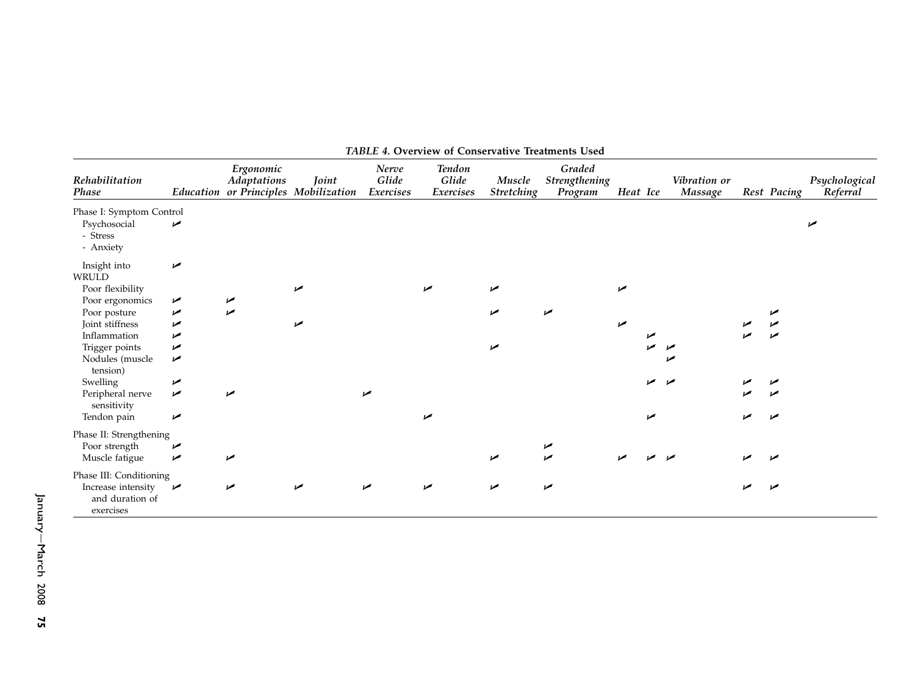<span id="page-6-0"></span>

| Rehabilitation<br>Phase                            |                | Ergonomic<br><b>Adaptations</b> | Joint<br>Education or Principles Mobilization | Nerve<br>Glide<br>Exercises | <b>Tendon</b><br>Glide<br>Exercises | Muscle<br>Stretching | Graded<br>Strengthening<br>Program | Heat Ice |     | Vibration or<br><b>Massage</b> | Rest Pacing | Psychological<br>Referral |
|----------------------------------------------------|----------------|---------------------------------|-----------------------------------------------|-----------------------------|-------------------------------------|----------------------|------------------------------------|----------|-----|--------------------------------|-------------|---------------------------|
| Phase I: Symptom Control                           |                |                                 |                                               |                             |                                     |                      |                                    |          |     |                                |             |                           |
| Psychosocial<br>- Stress<br>- Anxiety              | مما            |                                 |                                               |                             |                                     |                      |                                    |          |     |                                |             | ✔                         |
| Insight into                                       | ممز            |                                 |                                               |                             |                                     |                      |                                    |          |     |                                |             |                           |
| WRULD                                              |                |                                 |                                               |                             |                                     |                      |                                    |          |     |                                |             |                           |
| Poor flexibility                                   |                |                                 | مما                                           |                             |                                     | مما                  |                                    | مما      |     |                                |             |                           |
| Poor ergonomics                                    | $\overline{v}$ | مما                             |                                               |                             |                                     |                      |                                    |          |     |                                |             |                           |
| Poor posture                                       | ✔              | مما                             |                                               |                             |                                     |                      |                                    |          |     |                                |             |                           |
| Joint stiffness                                    | مما            |                                 | مما                                           |                             |                                     |                      |                                    | ✔        |     |                                |             |                           |
| Inflammation                                       | مما            |                                 |                                               |                             |                                     |                      |                                    |          |     |                                |             |                           |
| Trigger points                                     | ✔              |                                 |                                               |                             |                                     |                      |                                    |          |     |                                |             |                           |
| Nodules (muscle<br>tension)                        | مما            |                                 |                                               |                             |                                     |                      |                                    |          |     |                                |             |                           |
| Swelling                                           | مما            |                                 |                                               |                             |                                     |                      |                                    |          | مما |                                |             |                           |
| Peripheral nerve<br>sensitivity                    | مما            | مما                             |                                               |                             |                                     |                      |                                    |          |     |                                |             |                           |
| Tendon pain                                        | مما            |                                 |                                               |                             | مما                                 |                      |                                    |          |     |                                |             |                           |
| Phase II: Strengthening                            |                |                                 |                                               |                             |                                     |                      |                                    |          |     |                                |             |                           |
| Poor strength                                      | مما            |                                 |                                               |                             |                                     |                      |                                    |          |     |                                |             |                           |
| Muscle fatigue                                     | $\overline{v}$ | ✔                               |                                               |                             |                                     | مما                  |                                    |          |     |                                |             |                           |
|                                                    |                |                                 |                                               |                             |                                     |                      |                                    |          |     |                                |             |                           |
| Phase III: Conditioning                            |                |                                 |                                               |                             |                                     |                      |                                    |          |     |                                |             |                           |
| Increase intensity<br>and duration of<br>exercises | مما            | مما                             |                                               |                             |                                     | مما                  |                                    |          |     |                                |             |                           |

#### TABLE 4. Overview of Conservative Treatments Used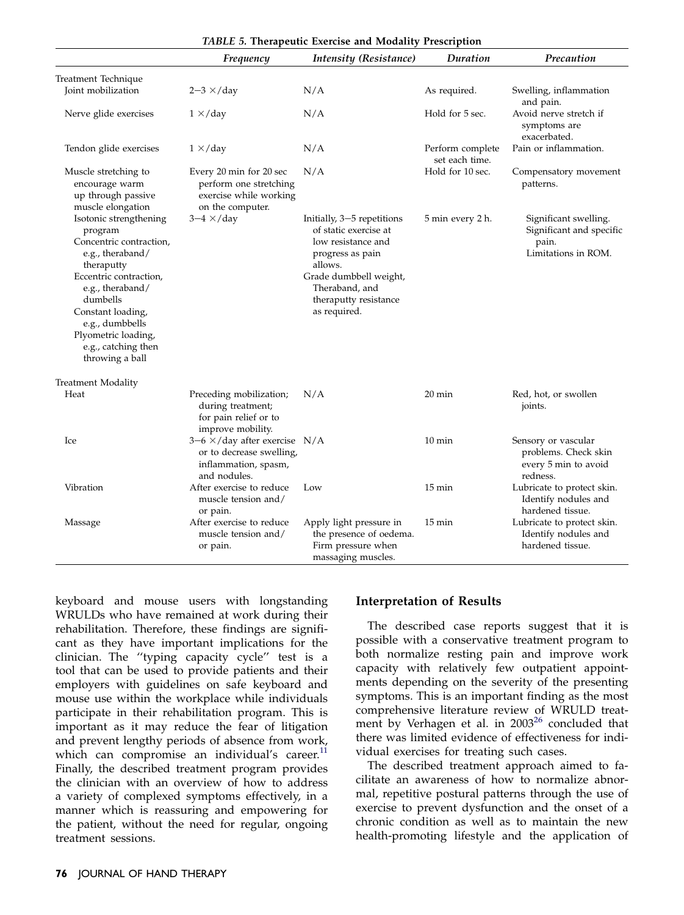<span id="page-7-0"></span>

|                                                                                                                                                                                                                                                                   | Frequency                                                                                                | Intensity (Resistance)                                                                                                                                                                        | Duration                           | Precaution                                                                        |
|-------------------------------------------------------------------------------------------------------------------------------------------------------------------------------------------------------------------------------------------------------------------|----------------------------------------------------------------------------------------------------------|-----------------------------------------------------------------------------------------------------------------------------------------------------------------------------------------------|------------------------------------|-----------------------------------------------------------------------------------|
| Treatment Technique<br>Joint mobilization                                                                                                                                                                                                                         | $2-3 \times/day$                                                                                         | N/A                                                                                                                                                                                           | As required.                       | Swelling, inflammation<br>and pain.                                               |
| Nerve glide exercises                                                                                                                                                                                                                                             | $1 \times$ /day                                                                                          | N/A                                                                                                                                                                                           | Hold for 5 sec.                    | Avoid nerve stretch if<br>symptoms are<br>exacerbated.                            |
| Tendon glide exercises                                                                                                                                                                                                                                            | $1 \times /day$                                                                                          | N/A                                                                                                                                                                                           | Perform complete<br>set each time. | Pain or inflammation.                                                             |
| Muscle stretching to<br>encourage warm<br>up through passive<br>muscle elongation                                                                                                                                                                                 | Every 20 min for 20 sec<br>perform one stretching<br>exercise while working<br>on the computer.          | N/A                                                                                                                                                                                           | Hold for 10 sec.                   | Compensatory movement<br>patterns.                                                |
| Isotonic strengthening<br>program<br>Concentric contraction,<br>e.g., theraband/<br>theraputty<br>Eccentric contraction,<br>e.g., theraband/<br>dumbells<br>Constant loading,<br>e.g., dumbbells<br>Plyometric loading,<br>e.g., catching then<br>throwing a ball | $3-4 \times/day$                                                                                         | Initially, 3-5 repetitions<br>of static exercise at<br>low resistance and<br>progress as pain<br>allows.<br>Grade dumbbell weight,<br>Theraband, and<br>theraputty resistance<br>as required. | 5 min every 2 h.                   | Significant swelling.<br>Significant and specific<br>pain.<br>Limitations in ROM. |
| Treatment Modality                                                                                                                                                                                                                                                |                                                                                                          |                                                                                                                                                                                               |                                    |                                                                                   |
| Heat                                                                                                                                                                                                                                                              | Preceding mobilization;<br>during treatment;<br>for pain relief or to<br>improve mobility.               | N/A                                                                                                                                                                                           | $20 \text{ min}$                   | Red, hot, or swollen<br>joints.                                                   |
| Ice                                                                                                                                                                                                                                                               | $3-6 \times$ /day after exercise N/A<br>or to decrease swelling,<br>inflammation, spasm,<br>and nodules. |                                                                                                                                                                                               | $10 \text{ min}$                   | Sensory or vascular<br>problems. Check skin<br>every 5 min to avoid<br>redness.   |
| Vibration                                                                                                                                                                                                                                                         | After exercise to reduce<br>muscle tension and/<br>or pain.                                              | Low                                                                                                                                                                                           | $15 \text{ min}$                   | Lubricate to protect skin.<br>Identify nodules and<br>hardened tissue.            |
| Massage                                                                                                                                                                                                                                                           | After exercise to reduce<br>muscle tension and/<br>or pain.                                              | Apply light pressure in<br>the presence of oedema.<br>Firm pressure when<br>massaging muscles.                                                                                                | $15 \text{ min}$                   | Lubricate to protect skin.<br>Identify nodules and<br>hardened tissue.            |

keyboard and mouse users with longstanding WRULDs who have remained at work during their rehabilitation. Therefore, these findings are significant as they have important implications for the clinician. The ''typing capacity cycle'' test is a tool that can be used to provide patients and their employers with guidelines on safe keyboard and mouse use within the workplace while individuals participate in their rehabilitation program. This is important as it may reduce the fear of litigation and prevent lengthy periods of absence from work, which can compromise an individual's career.<sup>[11](#page-8-0)</sup> Finally, the described treatment program provides the clinician with an overview of how to address a variety of complexed symptoms effectively, in a manner which is reassuring and empowering for the patient, without the need for regular, ongoing treatment sessions.

#### Interpretation of Results

The described case reports suggest that it is possible with a conservative treatment program to both normalize resting pain and improve work capacity with relatively few outpatient appointments depending on the severity of the presenting symptoms. This is an important finding as the most comprehensive literature review of WRULD treat-ment by Verhagen et al. in 2003<sup>[26](#page-9-0)</sup> concluded that there was limited evidence of effectiveness for individual exercises for treating such cases.

The described treatment approach aimed to facilitate an awareness of how to normalize abnormal, repetitive postural patterns through the use of exercise to prevent dysfunction and the onset of a chronic condition as well as to maintain the new health-promoting lifestyle and the application of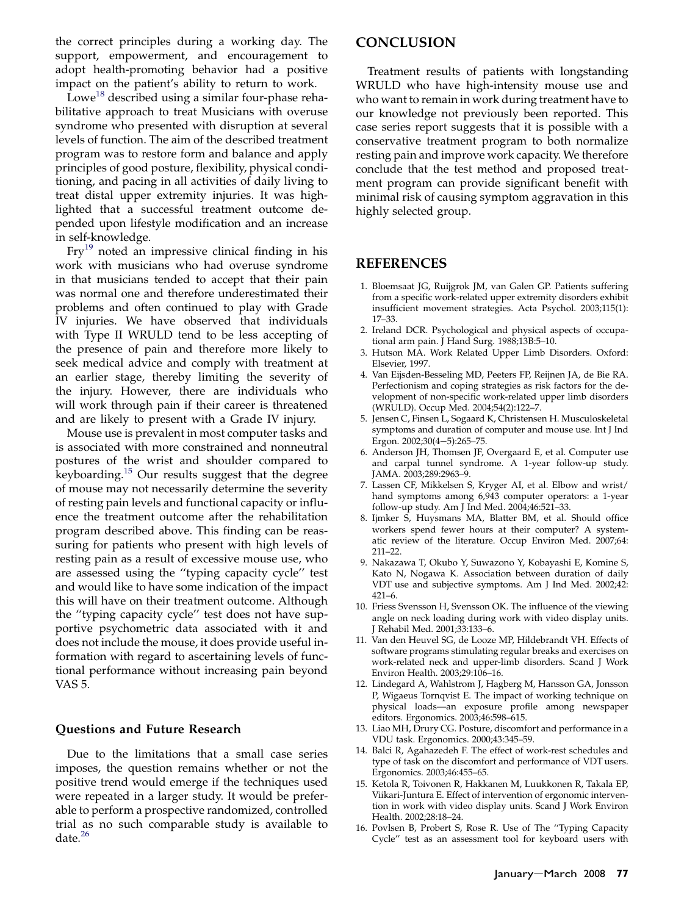<span id="page-8-0"></span>the correct principles during a working day. The support, empowerment, and encouragement to adopt health-promoting behavior had a positive impact on the patient's ability to return to work.

Lowe<sup>18</sup> described using a similar four-phase rehabilitative approach to treat Musicians with overuse syndrome who presented with disruption at several levels of function. The aim of the described treatment program was to restore form and balance and apply principles of good posture, flexibility, physical conditioning, and pacing in all activities of daily living to treat distal upper extremity injuries. It was highlighted that a successful treatment outcome depended upon lifestyle modification and an increase in self-knowledge.

 $Fry<sup>19</sup>$  $Fry<sup>19</sup>$  $Fry<sup>19</sup>$  noted an impressive clinical finding in his work with musicians who had overuse syndrome in that musicians tended to accept that their pain was normal one and therefore underestimated their problems and often continued to play with Grade IV injuries. We have observed that individuals with Type II WRULD tend to be less accepting of the presence of pain and therefore more likely to seek medical advice and comply with treatment at an earlier stage, thereby limiting the severity of the injury. However, there are individuals who will work through pain if their career is threatened and are likely to present with a Grade IV injury.

Mouse use is prevalent in most computer tasks and is associated with more constrained and nonneutral postures of the wrist and shoulder compared to keyboarding.15 Our results suggest that the degree of mouse may not necessarily determine the severity of resting pain levels and functional capacity or influence the treatment outcome after the rehabilitation program described above. This finding can be reassuring for patients who present with high levels of resting pain as a result of excessive mouse use, who are assessed using the ''typing capacity cycle'' test and would like to have some indication of the impact this will have on their treatment outcome. Although the ''typing capacity cycle'' test does not have supportive psychometric data associated with it and does not include the mouse, it does provide useful information with regard to ascertaining levels of functional performance without increasing pain beyond VAS 5.

# Questions and Future Research

Due to the limitations that a small case series imposes, the question remains whether or not the positive trend would emerge if the techniques used were repeated in a larger study. It would be preferable to perform a prospective randomized, controlled trial as no such comparable study is available to date. $26$ 

# **CONCLUSION**

Treatment results of patients with longstanding WRULD who have high-intensity mouse use and who want to remain in work during treatment have to our knowledge not previously been reported. This case series report suggests that it is possible with a conservative treatment program to both normalize resting pain and improve work capacity. We therefore conclude that the test method and proposed treatment program can provide significant benefit with minimal risk of causing symptom aggravation in this highly selected group.

# REFERENCES

- 1. Bloemsaat JG, Ruijgrok JM, van Galen GP. Patients suffering from a specific work-related upper extremity disorders exhibit insufficient movement strategies. Acta Psychol. 2003;115(1): 17–33.
- 2. Ireland DCR. Psychological and physical aspects of occupational arm pain. J Hand Surg. 1988;13B:5–10.
- 3. Hutson MA. Work Related Upper Limb Disorders. Oxford: Elsevier, 1997.
- 4. Van Eijsden-Besseling MD, Peeters FP, Reijnen JA, de Bie RA. Perfectionism and coping strategies as risk factors for the development of non-specific work-related upper limb disorders (WRULD). Occup Med. 2004;54(2):122–7.
- 5. Jensen C, Finsen L, Sogaard K, Christensen H. Musculoskeletal symptoms and duration of computer and mouse use. Int J Ind Ergon. 2002;30(4-5):265-75.
- 6. Anderson JH, Thomsen JF, Overgaard E, et al. Computer use and carpal tunnel syndrome. A 1-year follow-up study. JAMA. 2003;289:2963–9.
- 7. Lassen CF, Mikkelsen S, Kryger AI, et al. Elbow and wrist/ hand symptoms among 6,943 computer operators: a 1-year follow-up study. Am J Ind Med. 2004;46:521–33.
- 8. Ijmker S, Huysmans MA, Blatter BM, et al. Should office workers spend fewer hours at their computer? A systematic review of the literature. Occup Environ Med. 2007;64: 211–22.
- 9. Nakazawa T, Okubo Y, Suwazono Y, Kobayashi E, Komine S, Kato N, Nogawa K. Association between duration of daily VDT use and subjective symptoms. Am J Ind Med. 2002;42:  $421-6$
- 10. Friess Svensson H, Svensson OK. The influence of the viewing angle on neck loading during work with video display units. J Rehabil Med. 2001;33:133–6.
- 11. Van den Heuvel SG, de Looze MP, Hildebrandt VH. Effects of software programs stimulating regular breaks and exercises on work-related neck and upper-limb disorders. Scand J Work Environ Health. 2003;29:106–16.
- 12. Lindegard A, Wahlstrom J, Hagberg M, Hansson GA, Jonsson P, Wigaeus Tornqvist E. The impact of working technique on physical loads—an exposure profile among newspaper editors. Ergonomics. 2003;46:598–615.
- 13. Liao MH, Drury CG. Posture, discomfort and performance in a VDU task. Ergonomics. 2000;43:345–59.
- 14. Balci R, Agahazedeh F. The effect of work-rest schedules and type of task on the discomfort and performance of VDT users. Ergonomics. 2003;46:455–65.
- 15. Ketola R, Toivonen R, Hakkanen M, Luukkonen R, Takala EP, Viikari-Juntura E. Effect of intervention of ergonomic intervention in work with video display units. Scand J Work Environ Health. 2002;28:18–24.
- 16. Povlsen B, Probert S, Rose R. Use of The ''Typing Capacity Cycle'' test as an assessment tool for keyboard users with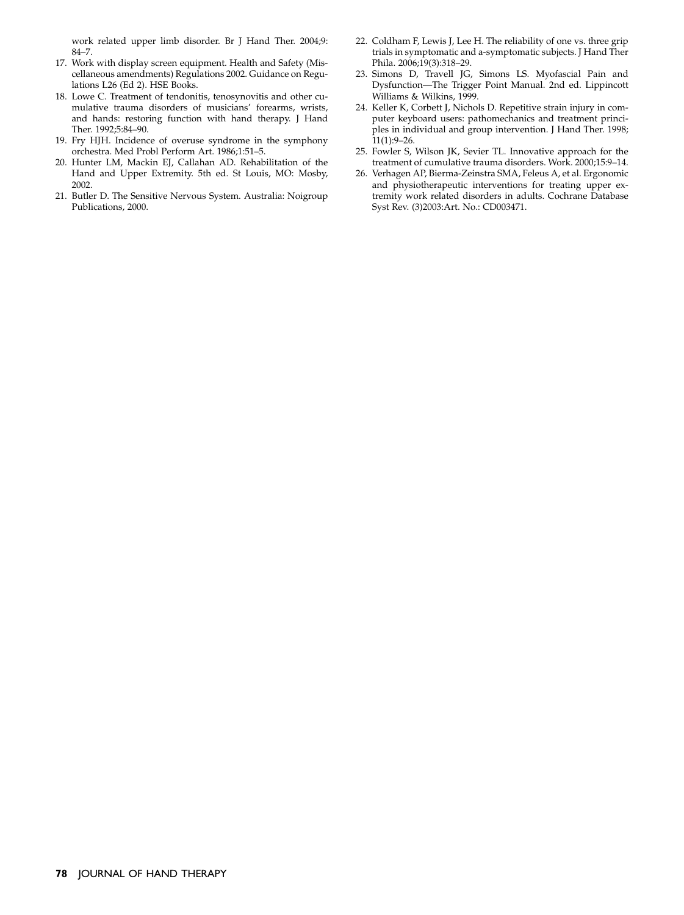<span id="page-9-0"></span>work related upper limb disorder. Br J Hand Ther. 2004;9: 84–7.

- 17. Work with display screen equipment. Health and Safety (Miscellaneous amendments) Regulations 2002. Guidance on Regulations L26 (Ed 2). HSE Books.
- 18. Lowe C. Treatment of tendonitis, tenosynovitis and other cumulative trauma disorders of musicians' forearms, wrists, and hands: restoring function with hand therapy. J Hand Ther. 1992;5:84–90.
- 19. Fry HJH. Incidence of overuse syndrome in the symphony orchestra. Med Probl Perform Art. 1986;1:51–5.
- 20. Hunter LM, Mackin EJ, Callahan AD. Rehabilitation of the Hand and Upper Extremity. 5th ed. St Louis, MO: Mosby, 2002.
- 21. Butler D. The Sensitive Nervous System. Australia: Noigroup Publications, 2000.
- 22. Coldham F, Lewis J, Lee H. The reliability of one vs. three grip trials in symptomatic and a-symptomatic subjects. J Hand Ther Phila. 2006;19(3):318–29.
- 23. Simons D, Travell JG, Simons LS. Myofascial Pain and Dysfunction—The Trigger Point Manual. 2nd ed. Lippincott Williams & Wilkins, 1999.
- 24. Keller K, Corbett J, Nichols D. Repetitive strain injury in computer keyboard users: pathomechanics and treatment principles in individual and group intervention. J Hand Ther. 1998; 11(1):9–26.
- 25. Fowler S, Wilson JK, Sevier TL. Innovative approach for the treatment of cumulative trauma disorders. Work. 2000;15:9–14.
- 26. Verhagen AP, Bierma-Zeinstra SMA, Feleus A, et al. Ergonomic and physiotherapeutic interventions for treating upper extremity work related disorders in adults. Cochrane Database Syst Rev. (3)2003:Art. No.: CD003471.